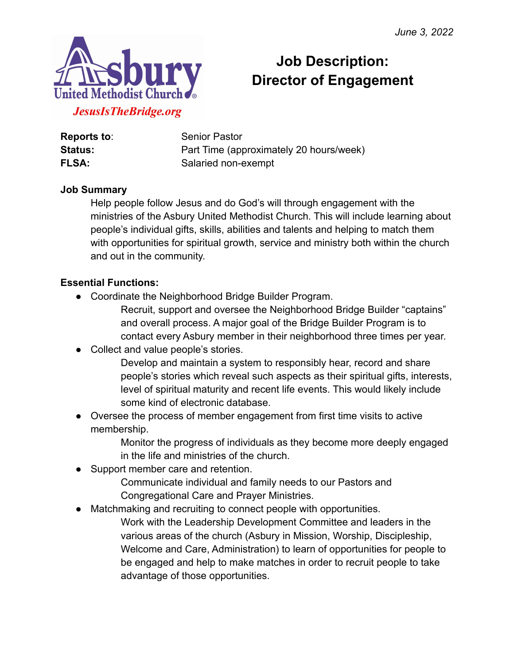

# **Job Description: Director of Engagement**

**Reports to:** Senior Pastor **Status:** Part Time (approximately 20 hours/week) **FLSA:** Salaried non-exempt

#### **Job Summary**

Help people follow Jesus and do God's will through engagement with the ministries of the Asbury United Methodist Church. This will include learning about people's individual gifts, skills, abilities and talents and helping to match them with opportunities for spiritual growth, service and ministry both within the church and out in the community.

#### **Essential Functions:**

- Coordinate the Neighborhood Bridge Builder Program.
	- Recruit, support and oversee the Neighborhood Bridge Builder "captains" and overall process. A major goal of the Bridge Builder Program is to contact every Asbury member in their neighborhood three times per year.
- Collect and value people's stories.
	- Develop and maintain a system to responsibly hear, record and share people's stories which reveal such aspects as their spiritual gifts, interests, level of spiritual maturity and recent life events. This would likely include some kind of electronic database.
- Oversee the process of member engagement from first time visits to active membership.
	- Monitor the progress of individuals as they become more deeply engaged in the life and ministries of the church.
- Support member care and retention.
	- Communicate individual and family needs to our Pastors and Congregational Care and Prayer Ministries.
- Matchmaking and recruiting to connect people with opportunities.
	- Work with the Leadership Development Committee and leaders in the various areas of the church (Asbury in Mission, Worship, Discipleship, Welcome and Care, Administration) to learn of opportunities for people to be engaged and help to make matches in order to recruit people to take advantage of those opportunities.